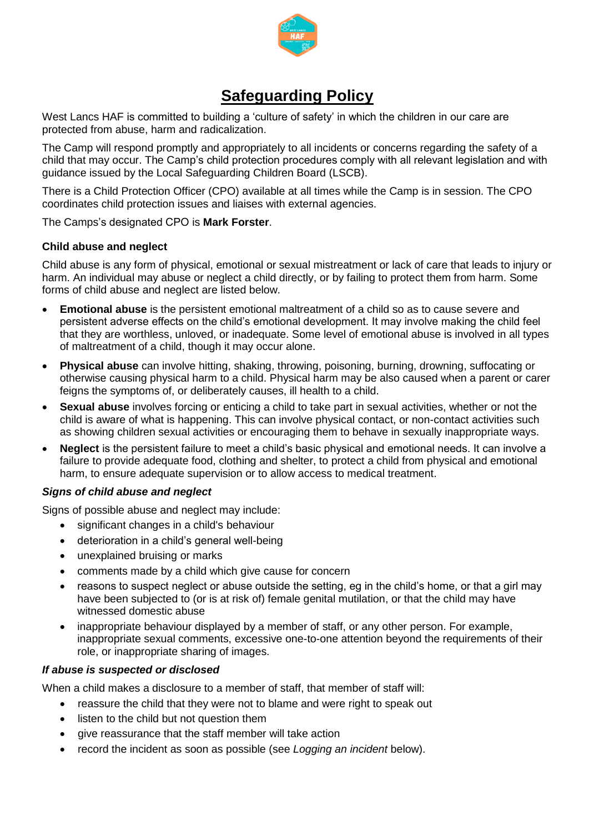

# **Safeguarding Policy**

West Lancs HAF is committed to building a 'culture of safety' in which the children in our care are protected from abuse, harm and radicalization.

The Camp will respond promptly and appropriately to all incidents or concerns regarding the safety of a child that may occur. The Camp's child protection procedures comply with all relevant legislation and with guidance issued by the Local Safeguarding Children Board (LSCB).

There is a Child Protection Officer (CPO) available at all times while the Camp is in session. The CPO coordinates child protection issues and liaises with external agencies.

The Camps's designated CPO is **Mark Forster**.

### **Child abuse and neglect**

Child abuse is any form of physical, emotional or sexual mistreatment or lack of care that leads to injury or harm. An individual may abuse or neglect a child directly, or by failing to protect them from harm. Some forms of child abuse and neglect are listed below.

- **Emotional abuse** is the persistent emotional maltreatment of a child so as to cause severe and persistent adverse effects on the child's emotional development. It may involve making the child feel that they are worthless, unloved, or inadequate. Some level of emotional abuse is involved in all types of maltreatment of a child, though it may occur alone.
- **Physical abuse** can involve hitting, shaking, throwing, poisoning, burning, drowning, suffocating or otherwise causing physical harm to a child. Physical harm may be also caused when a parent or carer feigns the symptoms of, or deliberately causes, ill health to a child.
- **Sexual abuse** involves forcing or enticing a child to take part in sexual activities, whether or not the child is aware of what is happening. This can involve physical contact, or non-contact activities such as showing children sexual activities or encouraging them to behave in sexually inappropriate ways.
- **Neglect** is the persistent failure to meet a child's basic physical and emotional needs. It can involve a failure to provide adequate food, clothing and shelter, to protect a child from physical and emotional harm, to ensure adequate supervision or to allow access to medical treatment.

### *Signs of child abuse and neglect*

Signs of possible abuse and neglect may include:

- significant changes in a child's behaviour
- deterioration in a child's general well-being
- unexplained bruising or marks
- comments made by a child which give cause for concern
- reasons to suspect neglect or abuse outside the setting, eg in the child's home, or that a girl may have been subjected to (or is at risk of) female genital mutilation, or that the child may have witnessed domestic abuse
- inappropriate behaviour displayed by a member of staff, or any other person. For example, inappropriate sexual comments, excessive one-to-one attention beyond the requirements of their role, or inappropriate sharing of images.

### *If abuse is suspected or disclosed*

When a child makes a disclosure to a member of staff, that member of staff will:

- reassure the child that they were not to blame and were right to speak out
- listen to the child but not question them
- give reassurance that the staff member will take action
- record the incident as soon as possible (see *Logging an incident* below).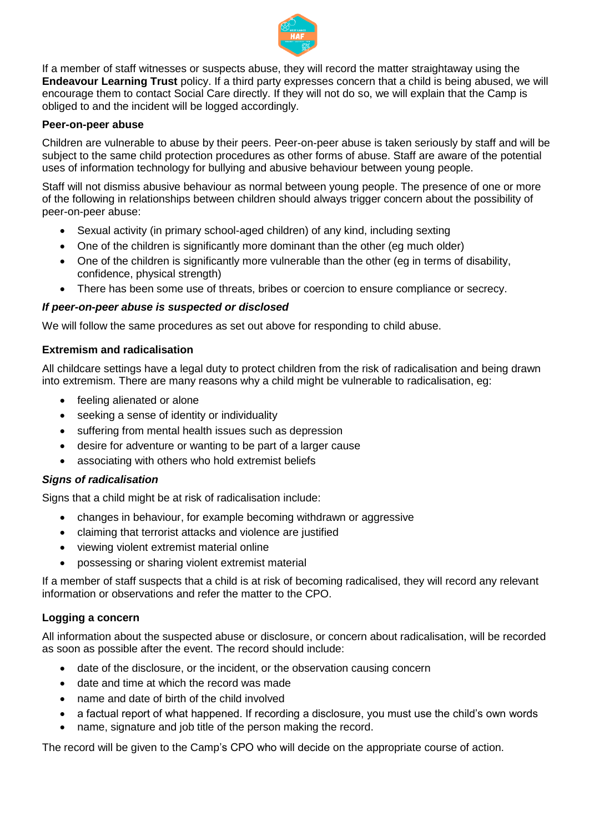

If a member of staff witnesses or suspects abuse, they will record the matter straightaway using the **Endeavour Learning Trust** policy. If a third party expresses concern that a child is being abused, we will encourage them to contact Social Care directly. If they will not do so, we will explain that the Camp is obliged to and the incident will be logged accordingly.

### **Peer-on-peer abuse**

Children are vulnerable to abuse by their peers. Peer-on-peer abuse is taken seriously by staff and will be subject to the same child protection procedures as other forms of abuse. Staff are aware of the potential uses of information technology for bullying and abusive behaviour between young people.

Staff will not dismiss abusive behaviour as normal between young people. The presence of one or more of the following in relationships between children should always trigger concern about the possibility of peer-on-peer abuse:

- Sexual activity (in primary school-aged children) of any kind, including sexting
- One of the children is significantly more dominant than the other (eg much older)
- One of the children is significantly more vulnerable than the other (eq in terms of disability, confidence, physical strength)
- There has been some use of threats, bribes or coercion to ensure compliance or secrecy.

### *If peer-on-peer abuse is suspected or disclosed*

We will follow the same procedures as set out above for responding to child abuse.

### **Extremism and radicalisation**

All childcare settings have a legal duty to protect children from the risk of radicalisation and being drawn into extremism. There are many reasons why a child might be vulnerable to radicalisation, eg:

- feeling alienated or alone
- seeking a sense of identity or individuality
- suffering from mental health issues such as depression
- desire for adventure or wanting to be part of a larger cause
- associating with others who hold extremist beliefs

### *Signs of radicalisation*

Signs that a child might be at risk of radicalisation include:

- changes in behaviour, for example becoming withdrawn or aggressive
- claiming that terrorist attacks and violence are justified
- viewing violent extremist material online
- possessing or sharing violent extremist material

If a member of staff suspects that a child is at risk of becoming radicalised, they will record any relevant information or observations and refer the matter to the CPO.

### **Logging a concern**

All information about the suspected abuse or disclosure, or concern about radicalisation, will be recorded as soon as possible after the event. The record should include:

- date of the disclosure, or the incident, or the observation causing concern
- date and time at which the record was made
- name and date of birth of the child involved
- a factual report of what happened. If recording a disclosure, you must use the child's own words
- name, signature and job title of the person making the record.

The record will be given to the Camp's CPO who will decide on the appropriate course of action.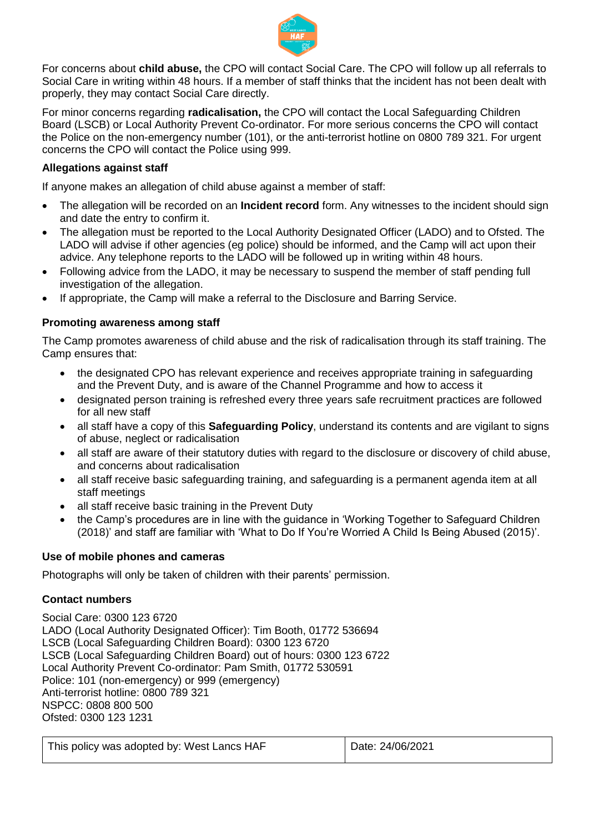

For concerns about **child abuse,** the CPO will contact Social Care. The CPO will follow up all referrals to Social Care in writing within 48 hours. If a member of staff thinks that the incident has not been dealt with properly, they may contact Social Care directly.

For minor concerns regarding **radicalisation,** the CPO will contact the Local Safeguarding Children Board (LSCB) or Local Authority Prevent Co-ordinator. For more serious concerns the CPO will contact the Police on the non-emergency number (101), or the anti-terrorist hotline on 0800 789 321. For urgent concerns the CPO will contact the Police using 999.

## **Allegations against staff**

If anyone makes an allegation of child abuse against a member of staff:

- The allegation will be recorded on an **Incident record** form. Any witnesses to the incident should sign and date the entry to confirm it.
- The allegation must be reported to the Local Authority Designated Officer (LADO) and to Ofsted. The LADO will advise if other agencies (eg police) should be informed, and the Camp will act upon their advice. Any telephone reports to the LADO will be followed up in writing within 48 hours.
- Following advice from the LADO, it may be necessary to suspend the member of staff pending full investigation of the allegation.
- If appropriate, the Camp will make a referral to the Disclosure and Barring Service.

### **Promoting awareness among staff**

The Camp promotes awareness of child abuse and the risk of radicalisation through its staff training. The Camp ensures that:

- the designated CPO has relevant experience and receives appropriate training in safeguarding and the Prevent Duty, and is aware of the Channel Programme and how to access it
- designated person training is refreshed every three years safe recruitment practices are followed for all new staff
- all staff have a copy of this **Safeguarding Policy**, understand its contents and are vigilant to signs of abuse, neglect or radicalisation
- all staff are aware of their statutory duties with regard to the disclosure or discovery of child abuse, and concerns about radicalisation
- all staff receive basic safeguarding training, and safeguarding is a permanent agenda item at all staff meetings
- all staff receive basic training in the Prevent Duty
- the Camp's procedures are in line with the guidance in 'Working Together to Safeguard Children (2018)' and staff are familiar with 'What to Do If You're Worried A Child Is Being Abused (2015)'.

#### **Use of mobile phones and cameras**

Photographs will only be taken of children with their parents' permission.

### **Contact numbers**

Social Care: 0300 123 6720 LADO (Local Authority Designated Officer): Tim Booth, 01772 536694 LSCB (Local Safeguarding Children Board): 0300 123 6720 LSCB (Local Safeguarding Children Board) out of hours: 0300 123 6722 Local Authority Prevent Co-ordinator: Pam Smith, 01772 530591 Police: 101 (non-emergency) or 999 (emergency) Anti-terrorist hotline: 0800 789 321 NSPCC: 0808 800 500 Ofsted: 0300 123 1231

| This policy was adopted by: West Lancs HAF |  |  |  |
|--------------------------------------------|--|--|--|
|--------------------------------------------|--|--|--|